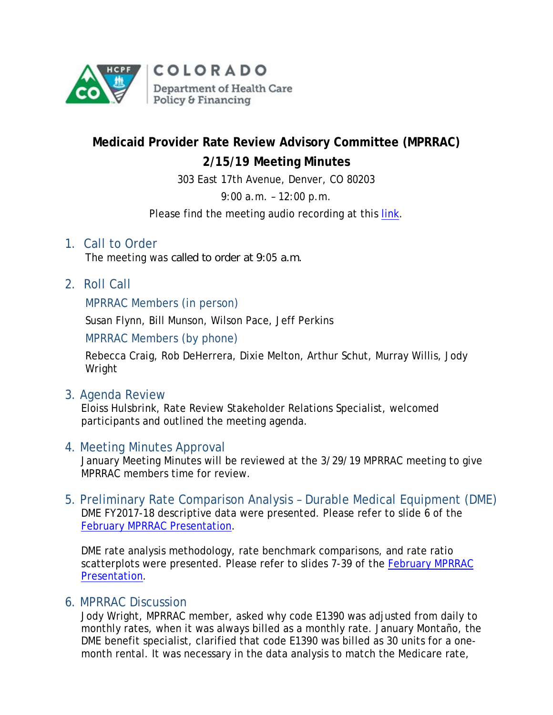

# **Medicaid Provider Rate Review Advisory Committee (MPRRAC) 2/15/19 Meeting Minutes**

303 East 17th Avenue, Denver, CO 80203

9:00 a.m. – 12:00 p.m.

Please find the meeting audio recording at this [link.](http://cohcpf.adobeconnect.com/pyem3o4nj7kg/)

## 1. Call to Order

The meeting was called to order at 9:05 a.m.

2. Roll Call

#### MPRRAC Members (in person)

Susan Flynn, Bill Munson, Wilson Pace, Jeff Perkins

MPRRAC Members (by phone)

Rebecca Craig, Rob DeHerrera, Dixie Melton, Arthur Schut, Murray Willis, Jody Wright

3. Agenda Review

Eloiss Hulsbrink, Rate Review Stakeholder Relations Specialist, welcomed participants and outlined the meeting agenda.

### 4. Meeting Minutes Approval

January Meeting Minutes will be reviewed at the 3/29/19 MPRRAC meeting to give MPRRAC members time for review.

5. Preliminary Rate Comparison Analysis – Durable Medical Equipment (DME) DME FY2017-18 descriptive data were presented. Please refer to slide 6 of the February [MPRRAC Presentation.](https://www.colorado.gov/pacific/sites/default/files/MPRRACSlidesFinalPresentation_Year4__15February2019_pdf.pdf)

DME rate analysis methodology, rate benchmark comparisons, and rate ratio scatterplots were presented. Please refer to slides 7-39 of the [February MPRRAC](https://www.colorado.gov/pacific/sites/default/files/MPRRACSlidesFinalPresentation_Year4__15February2019_pdf.pdf)  [Presentation.](https://www.colorado.gov/pacific/sites/default/files/MPRRACSlidesFinalPresentation_Year4__15February2019_pdf.pdf)

### 6. MPRRAC Discussion

Jody Wright, MPRRAC member, asked why code E1390 was adjusted from daily to monthly rates, when it was always billed as a monthly rate. January Montaño, the DME benefit specialist, clarified that code E1390 was billed as 30 units for a onemonth rental. It was necessary in the data analysis to match the Medicare rate,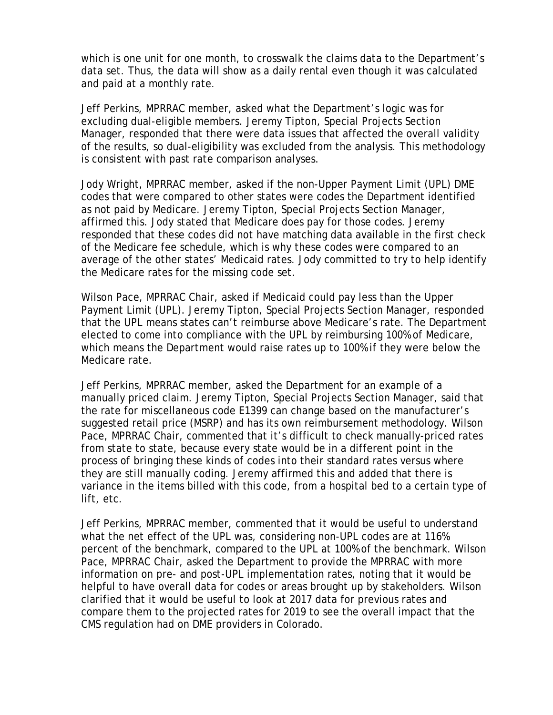which is one unit for one month, to crosswalk the claims data to the Department's data set. Thus, the data will show as a daily rental even though it was calculated and paid at a monthly rate.

Jeff Perkins, MPRRAC member, asked what the Department's logic was for excluding dual-eligible members. Jeremy Tipton, Special Projects Section Manager, responded that there were data issues that affected the overall validity of the results, so dual-eligibility was excluded from the analysis. This methodology is consistent with past rate comparison analyses.

Jody Wright, MPRRAC member, asked if the non-Upper Payment Limit (UPL) DME codes that were compared to other states were codes the Department identified as not paid by Medicare. Jeremy Tipton, Special Projects Section Manager, affirmed this. Jody stated that Medicare does pay for those codes. Jeremy responded that these codes did not have matching data available in the first check of the Medicare fee schedule, which is why these codes were compared to an average of the other states' Medicaid rates. Jody committed to try to help identify the Medicare rates for the missing code set.

Wilson Pace, MPRRAC Chair, asked if Medicaid could pay less than the Upper Payment Limit (UPL). Jeremy Tipton, Special Projects Section Manager, responded that the UPL means states can't reimburse above Medicare's rate. The Department elected to come into compliance with the UPL by reimbursing 100% of Medicare, which means the Department would raise rates up to 100% if they were below the Medicare rate.

Jeff Perkins, MPRRAC member, asked the Department for an example of a manually priced claim. Jeremy Tipton, Special Projects Section Manager, said that the rate for miscellaneous code E1399 can change based on the manufacturer's suggested retail price (MSRP) and has its own reimbursement methodology. Wilson Pace, MPRRAC Chair, commented that it's difficult to check manually-priced rates from state to state, because every state would be in a different point in the process of bringing these kinds of codes into their standard rates versus where they are still manually coding. Jeremy affirmed this and added that there is variance in the items billed with this code, from a hospital bed to a certain type of lift, etc.

Jeff Perkins, MPRRAC member, commented that it would be useful to understand what the net effect of the UPL was, considering non-UPL codes are at 116% percent of the benchmark, compared to the UPL at 100% of the benchmark. Wilson Pace, MPRRAC Chair, asked the Department to provide the MPRRAC with more information on pre- and post-UPL implementation rates, noting that it would be helpful to have overall data for codes or areas brought up by stakeholders. Wilson clarified that it would be useful to look at 2017 data for previous rates and compare them to the projected rates for 2019 to see the overall impact that the CMS regulation had on DME providers in Colorado.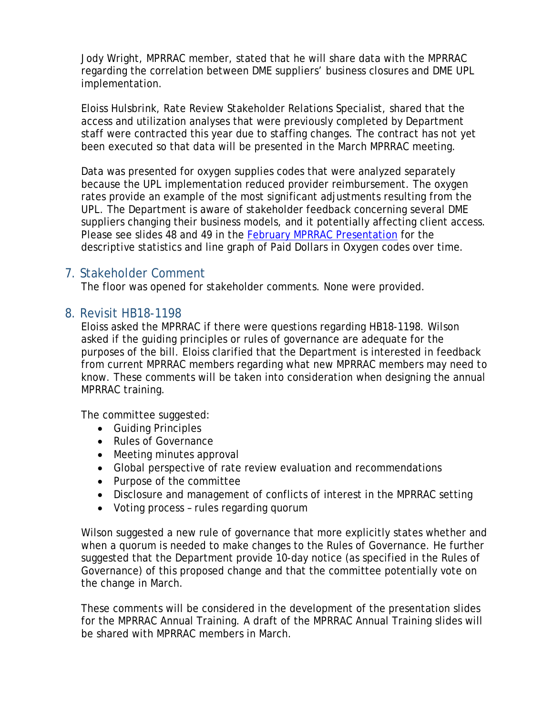Jody Wright, MPRRAC member, stated that he will share data with the MPRRAC regarding the correlation between DME suppliers' business closures and DME UPL implementation.

Eloiss Hulsbrink, Rate Review Stakeholder Relations Specialist, shared that the access and utilization analyses that were previously completed by Department staff were contracted this year due to staffing changes. The contract has not yet been executed so that data will be presented in the March MPRRAC meeting.

Data was presented for oxygen supplies codes that were analyzed separately because the UPL implementation reduced provider reimbursement. The oxygen rates provide an example of the most significant adjustments resulting from the UPL. The Department is aware of stakeholder feedback concerning several DME suppliers changing their business models, and it potentially affecting client access. Please see slides 48 and 49 in the [February MPRRAC Presentation](https://www.colorado.gov/pacific/sites/default/files/MPRRACSlidesFinalPresentation_Year4__15February2019_pdf.pdf) for the descriptive statistics and line graph of Paid Dollars in Oxygen codes over time.

## 7. Stakeholder Comment

The floor was opened for stakeholder comments. None were provided.

### 8. Revisit HB18-1198

Eloiss asked the MPRRAC if there were questions regarding HB18-1198. Wilson asked if the guiding principles or rules of governance are adequate for the purposes of the bill. Eloiss clarified that the Department is interested in feedback from current MPRRAC members regarding what new MPRRAC members may need to know. These comments will be taken into consideration when designing the annual MPRRAC training.

The committee suggested:

- Guiding Principles
- Rules of Governance
- Meeting minutes approval
- Global perspective of rate review evaluation and recommendations
- Purpose of the committee
- Disclosure and management of conflicts of interest in the MPRRAC setting
- Voting process rules regarding quorum

Wilson suggested a new rule of governance that more explicitly states whether and when a quorum is needed to make changes to the Rules of Governance. He further suggested that the Department provide 10-day notice (as specified in the Rules of Governance) of this proposed change and that the committee potentially vote on the change in March.

These comments will be considered in the development of the presentation slides for the MPRRAC Annual Training. A draft of the MPRRAC Annual Training slides will be shared with MPRRAC members in March.